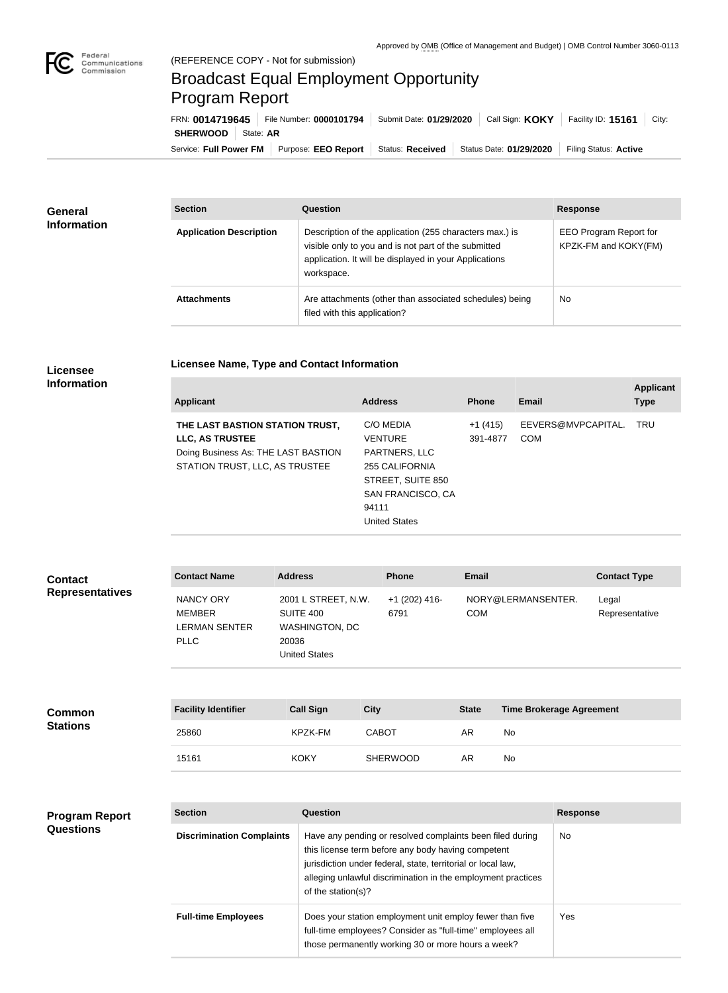

## Broadcast Equal Employment Opportunity Program Report

**Licensee Name, Type and Contact Information**

Service: Full Power FM Purpose: EEO Report | Status: Received | Status Date: 01/29/2020 | Filing Status: Active **SHERWOOD** | State: AR FRN: **0014719645** File Number: **0000101794** Submit Date: **01/29/2020** Call Sign: **KOKY** Facility ID: **15161** City:

| <b>General</b><br><b>Information</b> | <b>Section</b>                 | <b>Question</b>                                                                                                                                                                         | <b>Response</b>                                |  |
|--------------------------------------|--------------------------------|-----------------------------------------------------------------------------------------------------------------------------------------------------------------------------------------|------------------------------------------------|--|
|                                      | <b>Application Description</b> | Description of the application (255 characters max.) is<br>visible only to you and is not part of the submitted<br>application. It will be displayed in your Applications<br>workspace. | EEO Program Report for<br>KPZK-FM and KOKY(FM) |  |
|                                      | <b>Attachments</b>             | Are attachments (other than associated schedules) being<br>filed with this application?                                                                                                 | No                                             |  |

## **Licensee Information**

**Questions**

| <b>Applicant</b>                                                                                                            | <b>Address</b>                                                                                                    | <b>Phone</b>          | Email                            | <b>Applicant</b><br><b>Type</b> |
|-----------------------------------------------------------------------------------------------------------------------------|-------------------------------------------------------------------------------------------------------------------|-----------------------|----------------------------------|---------------------------------|
| THE LAST BASTION STATION TRUST,<br>LLC, AS TRUSTEE<br>Doing Business As: THE LAST BASTION<br>STATION TRUST, LLC, AS TRUSTEE | C/O MEDIA<br><b>VENTURE</b><br>PARTNERS, LLC<br>255 CALIFORNIA<br>STREET, SUITE 850<br>SAN FRANCISCO, CA<br>94111 | $+1(415)$<br>391-4877 | EEVERS@MVPCAPITAL.<br><b>COM</b> | <b>TRU</b>                      |
|                                                                                                                             | <b>United States</b>                                                                                              |                       |                                  |                                 |

| <b>Contact</b>         | <b>Contact Name</b>                                               | <b>Address</b>                                                                      | <b>Phone</b>          | <b>Email</b>                     | <b>Contact Type</b>     |
|------------------------|-------------------------------------------------------------------|-------------------------------------------------------------------------------------|-----------------------|----------------------------------|-------------------------|
| <b>Representatives</b> | <b>NANCY ORY</b><br><b>MEMBER</b><br>LERMAN SENTER<br><b>PLLC</b> | 2001 L STREET, N.W.<br>SUITE 400<br>WASHINGTON, DC<br>20036<br><b>United States</b> | +1 (202) 416-<br>6791 | NORY@LERMANSENTER.<br><b>COM</b> | Legal<br>Representative |

| <b>Common</b>   | <b>Facility Identifier</b> | <b>Call Sign</b> | <b>City</b>     | <b>State</b> | <b>Time Brokerage Agreement</b> |
|-----------------|----------------------------|------------------|-----------------|--------------|---------------------------------|
| <b>Stations</b> | 25860                      | KPZK-FM          | <b>CABOT</b>    | AR           | No                              |
|                 | 15161                      | <b>KOKY</b>      | <b>SHERWOOD</b> | AR           | No                              |

## **Section Question Response Discrimination Complaints** | Have any pending or resolved complaints been filed during this license term before any body having competent jurisdiction under federal, state, territorial or local law, alleging unlawful discrimination in the employment practices of the station(s)? No **Full-time Employees** Does your station employment unit employ fewer than five full-time employees? Consider as "full-time" employees all those permanently working 30 or more hours a week? Yes **Program Report**